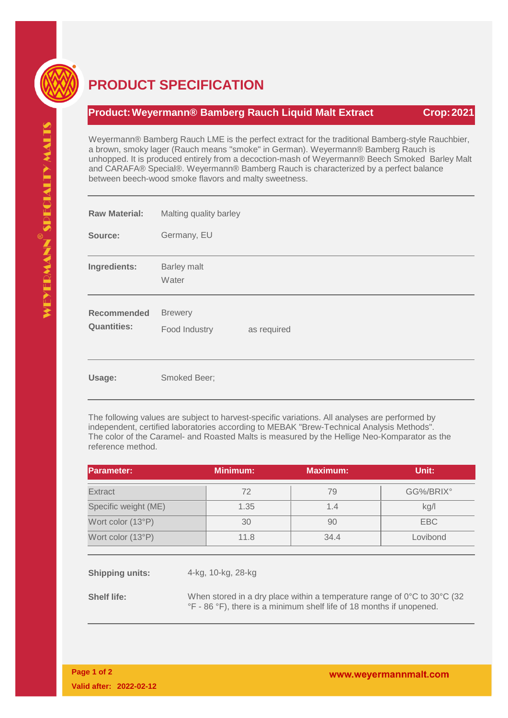

## **PRODUCT SPECIFICATION**

## **Product: Weyermann® Bamberg Rauch Liquid Malt Extract Crop: 2021**

Weyermann® Bamberg Rauch LME is the perfect extract for the traditional Bamberg-style Rauchbier, a brown, smoky lager (Rauch means "smoke" in German). Weyermann® Bamberg Rauch is unhopped. It is produced entirely from a decoction-mash of Weyermann® Beech Smoked Barley Malt and CARAFA® Special®. Weyermann® Bamberg Rauch is characterized by a perfect balance between beech-wood smoke flavors and malty sweetness.

| <b>Raw Material:</b>                     | Malting quality barley                         |  |  |
|------------------------------------------|------------------------------------------------|--|--|
| Source:                                  | Germany, EU                                    |  |  |
| Ingredients:                             | <b>Barley malt</b><br>Water                    |  |  |
| <b>Recommended</b><br><b>Quantities:</b> | <b>Brewery</b><br>Food Industry<br>as required |  |  |
| Usage:                                   | Smoked Beer;                                   |  |  |

The following values are subject to harvest-specific variations. All analyses are performed by independent, certified laboratories according to MEBAK "Brew-Technical Analysis Methods". The color of the Caramel- and Roasted Malts is measured by the Hellige Neo-Komparator as the reference method.

| <b>Parameter:</b>    | <b>Minimum:</b> | <b>Maximum:</b> | Unit:      |
|----------------------|-----------------|-----------------|------------|
| <b>Extract</b>       | 72              | 79              | GG%/BRIX°  |
| Specific weight (ME) | 1.35            | 1.4             | kg/l       |
| Wort color (13°P)    | 30              | 90              | <b>EBC</b> |
| Wort color (13°P)    | 11.8            | 34.4            | Lovibond   |

**Shipping units:** 4-kg, 10-kg, 28-kg

**Shelf life:** When stored in a dry place within a temperature range of 0°C to 30°C (32 °F - 86 °F), there is a minimum shelf life of 18 months if unopened.